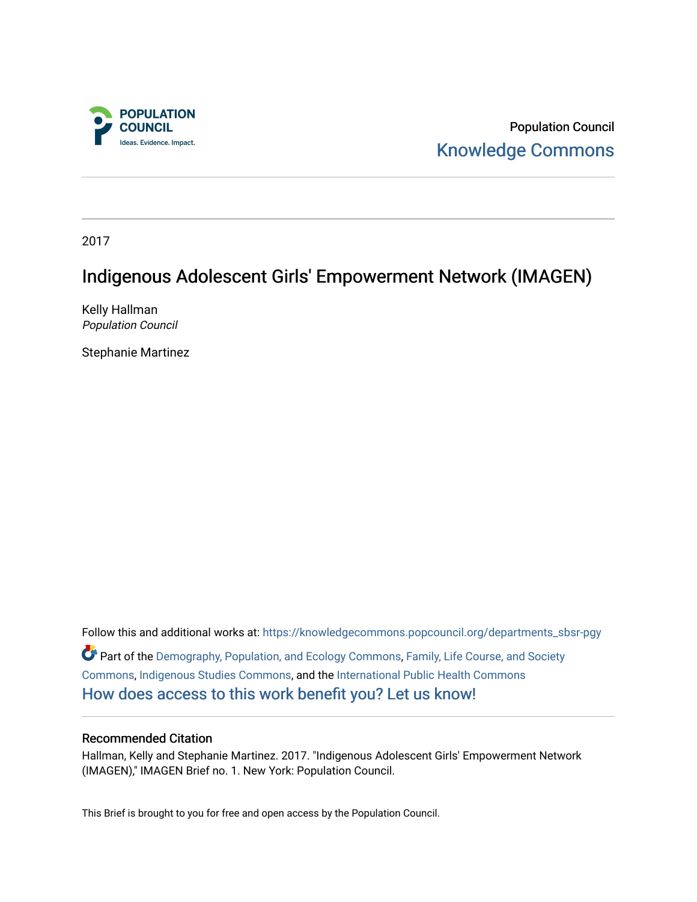

Population Council [Knowledge Commons](https://knowledgecommons.popcouncil.org/) 

2017

## Indigenous Adolescent Girls' Empowerment Network (IMAGEN)

Kelly Hallman Population Council

Stephanie Martinez

Follow this and additional works at: [https://knowledgecommons.popcouncil.org/departments\\_sbsr-pgy](https://knowledgecommons.popcouncil.org/departments_sbsr-pgy?utm_source=knowledgecommons.popcouncil.org%2Fdepartments_sbsr-pgy%2F518&utm_medium=PDF&utm_campaign=PDFCoverPages)  Part of the [Demography, Population, and Ecology Commons,](https://network.bepress.com/hgg/discipline/418?utm_source=knowledgecommons.popcouncil.org%2Fdepartments_sbsr-pgy%2F518&utm_medium=PDF&utm_campaign=PDFCoverPages) [Family, Life Course, and Society](https://network.bepress.com/hgg/discipline/419?utm_source=knowledgecommons.popcouncil.org%2Fdepartments_sbsr-pgy%2F518&utm_medium=PDF&utm_campaign=PDFCoverPages)  [Commons](https://network.bepress.com/hgg/discipline/419?utm_source=knowledgecommons.popcouncil.org%2Fdepartments_sbsr-pgy%2F518&utm_medium=PDF&utm_campaign=PDFCoverPages), [Indigenous Studies Commons,](https://network.bepress.com/hgg/discipline/571?utm_source=knowledgecommons.popcouncil.org%2Fdepartments_sbsr-pgy%2F518&utm_medium=PDF&utm_campaign=PDFCoverPages) and the [International Public Health Commons](https://network.bepress.com/hgg/discipline/746?utm_source=knowledgecommons.popcouncil.org%2Fdepartments_sbsr-pgy%2F518&utm_medium=PDF&utm_campaign=PDFCoverPages)  [How does access to this work benefit you? Let us know!](https://pcouncil.wufoo.com/forms/open-access-to-population-council-research/)

#### Recommended Citation

Hallman, Kelly and Stephanie Martinez. 2017. "Indigenous Adolescent Girls' Empowerment Network (IMAGEN)," IMAGEN Brief no. 1. New York: Population Council.

This Brief is brought to you for free and open access by the Population Council.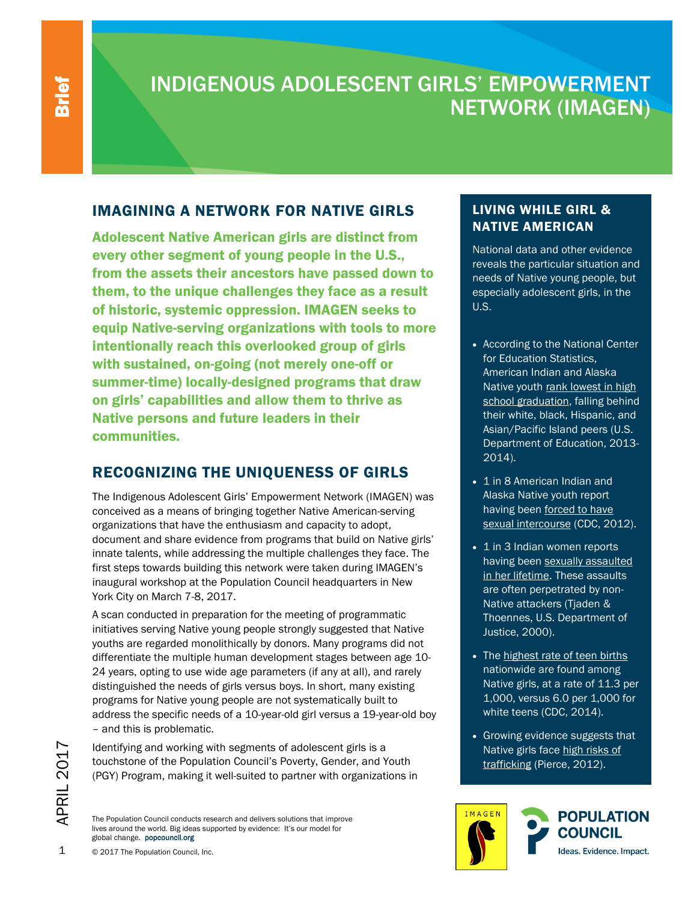I

# INDIGENOUS ADOLESCENT GIRLS' EMPOWERMENT NETWORK (IMAGEN)

### IMAGINING A NETWORK FOR NATIVE GIRLS

Adolescent Native American girls are distinct from every other segment of young people in the U.S., from the assets their ancestors have passed down to them, to the unique challenges they face as a result of historic, systemic oppression. IMAGEN seeks to equip Native-serving organizations with tools to more intentionally reach this overlooked group of girls with sustained, on-going (not merely one-off or summer-time) locally-designed programs that draw on girls' capabilities and allow them to thrive as Native persons and future leaders in their communities.

### RECOGNIZING THE UNIQUENESS OF GIRLS

The Indigenous Adolescent Girls' Empowerment Network (IMAGEN) was conceived as a means of bringing together Native American-serving organizations that have the enthusiasm and capacity to adopt, document and share evidence from programs that build on Native girls' innate talents, while addressing the multiple challenges they face. The first steps towards building this network were taken during IMAGEN's inaugural workshop at the Population Council headquarters in New York City on March 7-8, 2017.

A scan conducted in preparation for the meeting of programmatic initiatives serving Native young people strongly suggested that Native youths are regarded monolithically by donors. Many programs did not differentiate the multiple human development stages between age 10- 24 years, opting to use wide age parameters (if any at all), and rarely distinguished the needs of girls versus boys. In short, many existing programs for Native young people are not systematically built to address the specific needs of a 10-year-old girl versus a 19-year-old boy – and this is problematic.

Identifying and working with segments of adolescent girls is a touchstone of the Population Council's Poverty, Gender, and Youth (PGY) Program, making it well-suited to partner with organizations in

The Population Council conducts research and delivers solutions that improve lives around the world. Big ideas supported by evidence: It's our model for global change. popcouncil.org

#### LIVING WHILE GIRL & NATIVE AMERICAN

National data and other evidence reveals the particular situation and needs of Native young people, but especially adolescent girls, in the U.S.

- According to the National Center for Education Statistics, American Indian and Alaska Native youth rank lowest in high school graduation, falling behind their white, black, Hispanic, and Asian/Pacific [Island peers](https://nces.ed.gov/programs/coe/indicator_coi.asp) (U.S. Department of Education, 2013- 2014).
- 1 in 8 American Indian and Alaska Native youth report having been forced to have [sexual intercourse](https://www.cdc.gov/violenceprevention/pdf/sv-datasheet-a.pdf) (CDC, 2012).
- 1 in 3 Indian women reports having been [sexually assaulted](https://www.justice.gov/ovw/tribal-communities) [in her lifetime.](https://www.justice.gov/ovw/tribal-communities) These assaults are often perpetrated by non-Native attackers (Tjaden & Thoennes, U.S. Department of Justice, 2000).
- The highest rate of teen births nationwide are found among Native girls, at a rate of 11.3 per 1,000, versus 6.0 per 1,000 for white teens (CDC, 2014).
- Growing evidence suggests that Native girls face high risks of trafficking (Pierce, 2012).



APRIL 201

 $\mathord{\hspace{1pt}\text{--}\hspace{1pt}}$